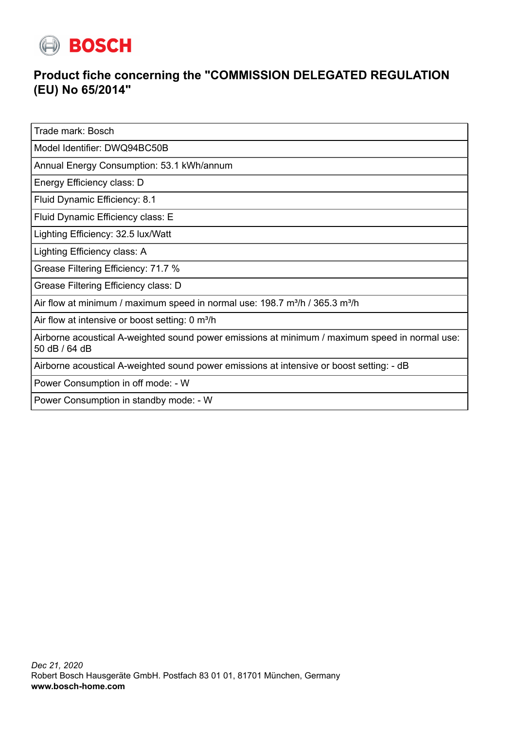

## **Product fiche concerning the "COMMISSION DELEGATED REGULATION (EU) No 65/2014"**

Trade mark: Bosch

Model Identifier: DWQ94BC50B

Annual Energy Consumption: 53.1 kWh/annum

Energy Efficiency class: D

Fluid Dynamic Efficiency: 8.1

Fluid Dynamic Efficiency class: E

Lighting Efficiency: 32.5 lux/Watt

Lighting Efficiency class: A

Grease Filtering Efficiency: 71.7 %

Grease Filtering Efficiency class: D

Air flow at minimum / maximum speed in normal use:  $198.7 \text{ m}^3/\text{h}$  /  $365.3 \text{ m}^3/\text{h}$ 

Air flow at intensive or boost setting: 0 m<sup>3</sup>/h

Airborne acoustical A-weighted sound power emissions at minimum / maximum speed in normal use: 50 dB / 64 dB

Airborne acoustical A-weighted sound power emissions at intensive or boost setting: - dB

Power Consumption in off mode: - W

Power Consumption in standby mode: - W